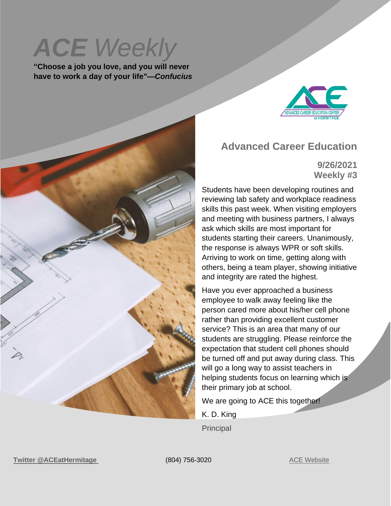*ACE Weekly* 

**"Choose a job you love, and you will never have to work a day of your life"—***Confucius*



#### **Advanced Career Education**

**9/26/2021 Weekly #3**

Students have been developing routines and reviewing lab safety and workplace readiness skills this past week. When visiting employers and meeting with business partners, I always ask which skills are most important for students starting their careers. Unanimously, the response is always WPR or soft skills. Arriving to work on time, getting along with others, being a team player, showing initiative and integrity are rated the highest.

Have you ever approached a business employee to walk away feeling like the person cared more about his/her cell phone rather than providing excellent customer service? This is an area that many of our students are struggling. Please reinforce the expectation that student cell phones should be turned off and put away during class. This will go a long way to assist teachers in helping students focus on learning which is their primary job at school.

We are going to ACE this together!

K. D. King

**Principal** 

**Twitter** [@ACEatHermitage](https://twitter.com/ACEatHermitage?ref_src=twsrc%5Egoogle%7Ctwcamp%5Eserp%7Ctwgr%5Eauthor) (804) 756-3020 [ACE Website](https://acecenterathermitage.henricoschools.us/)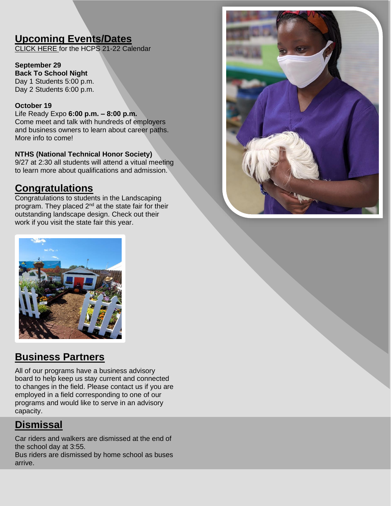## **Upcoming Events/Dates**

[CLICK HERE f](http://track.spe.schoolmessenger.com/f/a/xwNFdIS3OBonMf9XwdbnBQ~~/AAAAAQA~/RgRjHicOP0RNaHR0cHM6Ly9oZW5yaWNvc2Nob29scy51cy93cC1jb250ZW50L3VwbG9hZHMvSENQUy1TY2hvb2wtQ2FsZW5kYXItMjAyMS0yMi5wZGZXB3NjaG9vbG1CCmE4jvM8Ycm9hsxSGGtka2luZ0BoZW5yaWNvLmsxMi52YS51c1gEAAAAAQ~~)or the HCPS 21-22 Calendar

**September 29 Back To School Night** Day 1 Students 5:00 p.m. Day 2 Students 6:00 p.m.

#### **October 19**

Life Ready Expo **6:00 p.m. – 8:00 p.m.** Come meet and talk with hundreds of employers and business owners to learn about career paths. More info to come!

#### **NTHS (National Technical Honor Society)**

9/27 at 2:30 all students will attend a vitual meeting to learn more about qualifications and admission.

### **Congratulations**

Congratulations to students in the Landscaping program. They placed 2<sup>nd</sup> at the state fair for their outstanding landscape design. Check out their work if you visit the state fair this year.





### **Business Partners**

All of our programs have a business advisory board to help keep us stay current and connected to changes in the field. Please contact us if you are employed in a field corresponding to one of our programs and would like to serve in an advisory capacity.

## **Dismissal**

Car riders and walkers are dismissed at the end of the school day at 3:55.

Bus riders are dismissed by home school as buses arrive.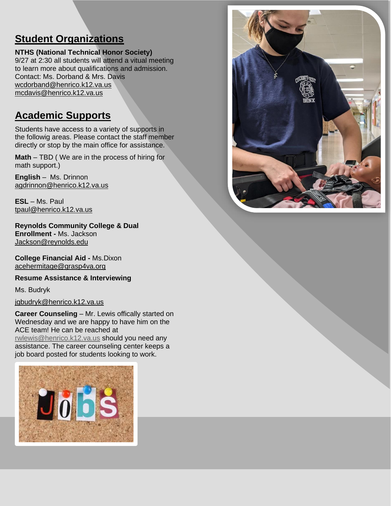## **Student Organizations**

**NTHS (National Technical Honor Society)** 9/27 at 2:30 all students will attend a vitual meeting to learn more about qualifications and admission. Contact: Ms. Dorband & Mrs. Davis [wcdorband@henrico.k12.va.us](mailto:wcdorband@henrico.k12.va.us) [mcdavis@henrico.k12.va.us](mailto:mcdavis@henrico.k12.va.us)

# **Academic Supports**

Students have access to a variety of supports in the followig areas. Please contact the staff member directly or stop by the main office for assistance.

**Math** – TBD ( We are in the process of hiring for math support.)

**English** – Ms. Drinnon [agdrinnon@henrico.k12.va.us](mailto:agdrinnon@henrico.k12.va.us)

**ESL** – Ms. Paul [tpaul@henrico.k12.va.us](mailto:tpaul@henrico.k12.va.us)

**Reynolds Community College & Dual Enrollment -** Ms. Jackson [Jackson@reynolds.edu](mailto:Jackson@reynolds.edu)

**College Financial Aid -** Ms.Dixon [acehermitage@grasp4va.org](https://hcpschools-my.sharepoint.com/personal/kdking_henrico_k12_va_us/Documents/Documents/acehermitage@grasp4va.org)

**Resume Assistance & Interviewing** 

Ms. Budryk

[jgbudryk@henrico.k12.va.us](mailto:jgbudryk@henrico.k12.va.us)

**Career Counseling** – Mr. Lewis offically started on Wednesday and we are happy to have him on the ACE team! He can be reached at [rwlewis@henrico.k12.va.us](mailto:rwlewis@henrico.k12.va.us) should you need any assistance. The career counseling center keeps a job board posted for students looking to work.